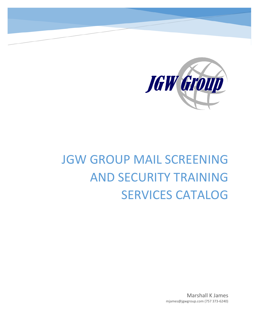

# JGW GROUP MAIL SCREENING AND SECURITY TRAINING SERVICES CATALOG

Marshall K James mjames@jgwgroup.com (757 373-6240)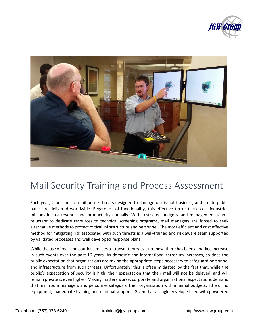



# Mail Security Training and Process Assessment

Each year, thousands of mail borne threats designed to damage or disrupt business, and create public panic are delivered worldwide. Regardless of functionality, this effective terror tactic cost industries millions in lost revenue and productivity annually. With restricted budgets, and management teams reluctant to dedicate resources to technical screening programs, mail managers are forced to seek alternative methods to protect critical infrastructure and personnel. The most efficient and cost effective method for mitigating risk associated with such threats is a well-trained and risk aware team supported by validated processes and well developed response plans.

While the use of mail and courier services to transmit threats is not new, there has been a marked increase in such events over the past 16 years. As domestic and international terrorism increases, so does the public expectation that organizations are taking the appropriate steps necessary to safeguard personnel and infrastructure from such threats. Unfortunately, this is often mitigated by the fact that, while the public's expectation of security is high, their expectation that their mail will not be delayed, and will remain private is even higher. Making matters worse, corporate and organizational expectations demand that mail room managers and personnel safeguard their organization with minimal budgets, little or no equipment, inadequate training and minimal support. Given that a single envelope filled with powdered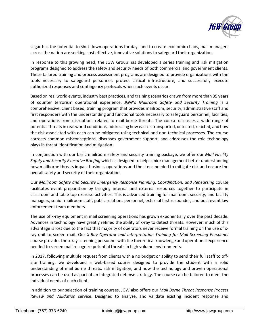

sugar has the potential to shut down operations for days and to create economic chaos, mail managers across the nation are seeking cost effective, innovative solutions to safeguard their organizations.

In response to this growing need, the JGW Group has developed a series training and risk mitigation programs designed to address the safety and security needs of both commercial and government clients. These tailored training and process assessment programs are designed to provide organizations with the tools necessary to safeguard personnel, protect critical infrastructure, and successfully execute authorized responses and contingency protocols when such events occur.

Based on real world events, industry best practices, and training scenarios drawn from more than 35 years of counter terrorism operational experience, JGW's *Mailroom Safety and Security Training* is a comprehensive, client based, training program that provides mailroom, security, administrative staff and first responders with the understanding and functional tools necessary to safeguard personnel, facilities, and operations from disruptions related to mail borne threats. The course discusses a wide range of potential threats in real world conditions, addressing how each is transported, detected, reacted, and how the risk associated with each can be mitigated using technical and non-technical processes. The course corrects common misconceptions, discusses government support, and addresses the role technology plays in threat identification and mitigation.

In conjunction with our basic mailroom safety and security training package, we offer our *Mail Facility Safety and Security Executive Briefing* which is designed to help senior management better understanding how mailborne threats impact business operations and the steps needed to mitigate risk and ensure the overall safety and security of their organization.

Our *Mailroom Safety and Security Emergency Response Planning, Coordination, and Rehearsing* course facilitates event preparation by bringing internal and external resources together to participate in classroom and table top exercise activities. This is advanced training for mailroom, security, and facility managers, senior mailroom staff, public relations personnel, external first responder, and post event law enforcement team members.

The use of x-ray equipment in mail screening operations has grown exponentially over the past decade. Advances in technology have greatly refined the ability of x-ray to detect threats. However, much of this advantage is lost due to the fact that majority of operators never receive formal training on the use of xray unit to screen mail. Our *X-Ray Operator and Interpretation Training for Mail Screening Personnel* course provides the x-ray screening personnel with the theoretical knowledge and operational experience needed to screen mail recognize potential threats in high volume environments.

In 2017, following multiple request from clients with a no budget or ability to send their full staff to offsite training, we developed a web-based course designed to provide the student with a solid understanding of mail borne threats, risk mitigation, and how the technology and proven operational processes can be used as part of an integrated defense strategy. The course can be tailored to meet the individual needs of each client.

In addition to our selection of training courses, JGW also offers our *Mail Borne Threat Response Process Review and Validation* service. Designed to analyze, and validate existing incident response and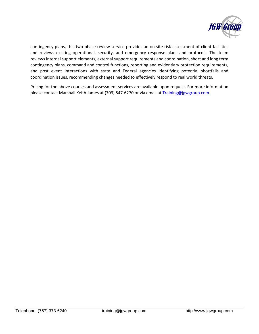

contingency plans, this two phase review service provides an on-site risk assessment of client facilities and reviews existing operational, security, and emergency response plans and protocols. The team reviews internal support elements, external support requirements and coordination, short and long term contingency plans, command and control functions, reporting and evidentiary protection requirements, and post event interactions with state and Federal agencies identifying potential shortfalls and coordination issues, recommending changes needed to effectively respond to real world threats.

Pricing for the above courses and assessment services are available upon request. For more information please contact Marshall Keith James at (703) 547-6270 or via email at [Training@jgwgroup.com.](mailto:Training@jgwgroup.com)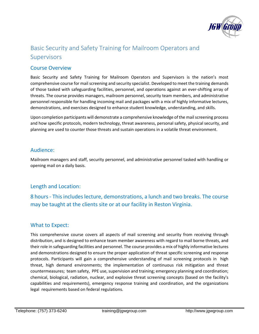

# Basic Security and Safety Training for Mailroom Operators and Supervisors

#### Course Overview

Basic Security and Safety Training for Mailroom Operators and Supervisors is the nation's most comprehensive course for mail screening and security specialist. Developed to meet the training demands of those tasked with safeguarding facilities, personnel, and operations against an ever-shifting array of threats. The course provides managers, mailroom personnel, security team members, and administrative personnel responsible for handling incoming mail and packages with a mix of highly informative lectures, demonstrations, and exercises designed to enhance student knowledge, understanding, and skills.

Upon completion participants will demonstrate a comprehensive knowledge of the mail screening process and how specific protocols, modern technology, threat awareness, personal safety, physical security, and planning are used to counter those threats and sustain operations in a volatile threat environment.

#### Audience:

Mailroom managers and staff, security personnel, and administrative personnel tasked with handling or opening mail on a daily basis.

#### Length and Location:

8 hours - This includes lecture, demonstrations, a lunch and two breaks. The course may be taught at the clients site or at our facility in Reston Virginia.

#### What to Expect:

This comprehensive course covers all aspects of mail screening and security from receiving through distribution, and is designed to enhance team member awareness with regard to mail borne threats, and their role in safeguarding facilities and personnel. The course provides a mix of highly informative lectures and demonstrations designed to ensure the proper application of threat specific screening and response protocols. Participants will gain a comprehensive understanding of mail screening protocols in high threat, high demand environments; the implementation of continuous risk mitigation and threat countermeasures; team safety, PPE use, supervision and training; emergency planning and coordination; chemical, biological, radiation, nuclear, and explosive threat screening concepts (based on the facility's capabilities and requirements), emergency response training and coordination, and the organizations legal requirements based on federal regulations.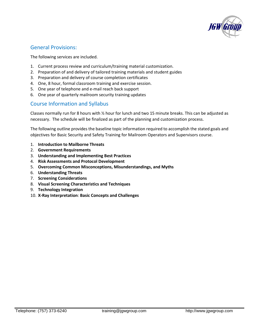

#### General Provisions:

The following services are included.

- 1. Current process review and curriculum/training material customization.
- 2. Preparation of and delivery of tailored training materials and student guides
- 3. Preparation and delivery of course completion certificates
- 4. One, 8 hour, formal classroom training and exercise session.
- 5. One year of telephone and e-mail reach back support
- 6. One year of quarterly mailroom security training updates

#### Course Information and Syllabus

Classes normally run for 8 hours with ½ hour for lunch and two 15 minute breaks. This can be adjusted as necessary. The schedule will be finalized as part of the planning and customization process.

The following outline provides the baseline topic information required to accomplish the stated goals and objectives for Basic Security and Safety Training for Mailroom Operators and Supervisors course.

- 1. **Introduction to Mailborne Threats**
- 2. **Government Requirements**
- 3. **Understanding and Implementing Best Practices**
- 4. **Risk Assessments and Protocol Development**
- 5. **Overcoming Common Misconceptions, Misunderstandings, and Myths**
- 6. **Understanding Threats**
- 7. **Screening Considerations**
- 8. **Visual Screening Characteristics and Techniques**
- 9. **Technology Integration**
- 10. **X-Ray Interpretation**: **Basic Concepts and Challenges**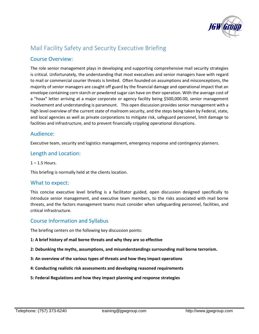

# Mail Facility Safety and Security Executive Briefing

#### Course Overview:

The role senior management plays in developing and supporting comprehensive mail security strategies is critical. Unfortunately, the understanding that most executives and senior managers have with regard to mail or commercial courier threats is limited. Often founded on assumptions and misconceptions, the majority of senior managers are caught off guard by the financial damage and operational impact that an envelope containing corn starch or powdered sugar can have on their operation. With the average cost of a "hoax" letter arriving at a major corporate or agency facility being \$500,000.00, senior management involvement and understanding is paramount. This open discussion provides senior management with a high level overview of the current state of mailroom security, and the steps being taken by Federal, state, and local agencies as well as private corporations to mitigate risk, safeguard personnel, limit damage to facilities and infrastructure, and to prevent financially crippling operational disruptions.

#### Audience:

Executive team, security and logistics management, emergency response and contingency planners.

#### Length and Location:

 $1 - 1.5$  Hours.

This briefing is normally held at the clients location.

#### What to expect:

This concise executive level briefing is a facilitator guided, open discussion designed specifically to introduce senior management, and executive team members, to the risks associated with mail borne threats, and the factors management teams must consider when safeguarding personnel, facilities, and critical infrastructure.

#### Course Information and Syllabus

The briefing centers on the following key discussion points:

- **1: A brief history of mail borne threats and why they are so effective**
- **2: Debunking the myths, assumptions, and misunderstandings surrounding mail borne terrorism.**
- **3: An overview of the various types of threats and how they impact operations**
- **4: Conducting realistic risk assessments and developing reasoned requirements**
- **5: Federal Regulations and how they impact planning and response strategies**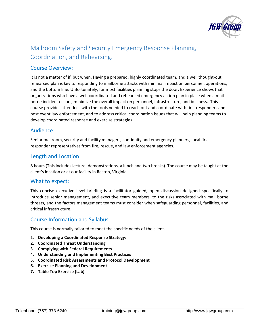

# Mailroom Safety and Security Emergency Response Planning, Coordination, and Rehearsing.

#### Course Overview:

It is not a matter of if, but when. Having a prepared, highly coordinated team, and a well thought-out, rehearsed plan is key to responding to mailborne attacks with minimal impact on personnel, operations, and the bottom line. Unfortunately, for most facilities planning stops the door. Experience shows that organizations who have a well-coordinated and rehearsed emergency action plan in place when a mail borne incident occurs, minimize the overall impact on personnel, infrastructure, and business. This course provides attendees with the tools needed to reach out and coordinate with first responders and post event law enforcement, and to address critical coordination issues that will help planning teams to develop coordinated response and exercise strategies.

#### Audience:

Senior mailroom, security and facility managers, continuity and emergency planners, local first responder representatives from fire, rescue, and law enforcement agencies.

#### Length and Location:

8 hours (This includes lecture, demonstrations, a lunch and two breaks). The course may be taught at the client's location or at our facility in Reston, Virginia.

#### What to expect:

This concise executive level briefing is a facilitator guided, open discussion designed specifically to introduce senior management, and executive team members, to the risks associated with mail borne threats, and the factors management teams must consider when safeguarding personnel, facilities, and critical infrastructure.

#### Course Information and Syllabus

This course is normally tailored to meet the specific needs of the client.

- 1. **Developing a Coordinated Response Strategy:**
- **2. Coordinated Threat Understanding**
- 3. **Complying with Federal Requirements**
- 4. **Understanding and Implementing Best Practices**
- 5. **Coordinated Risk Assessments and Protocol Development**
- **6. Exercise Planning and Development**
- **7. Table Top Exercise (Lab)**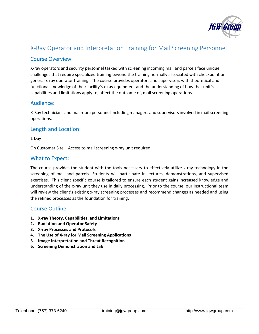

## X-Ray Operator and Interpretation Training for Mail Screening Personnel

#### Course Overview

X-ray operators and security personnel tasked with screening incoming mail and parcels face unique challenges that require specialized training beyond the training normally associated with checkpoint or general x-ray operator training. The course provides operators and supervisors with theoretical and functional knowledge of their facility's x-ray equipment and the understanding of how that unit's capabilities and limitations apply to, affect the outcome of, mail screening operations.

#### Audience:

X-Ray technicians and mailroom personnel including managers and supervisors involved in mail screening operations.

#### Length and Location:

1 Day

On Customer Site – Access to mail screening x-ray unit required

#### What to Expect:

The course provides the student with the tools necessary to effectively utilize x-ray technology in the screening of mail and parcels. Students will participate in lectures, demonstrations, and supervised exercises. This client specific course is tailored to ensure each student gains increased knowledge and understanding of the x-ray unit they use in daily processing. Prior to the course, our instructional team will review the client's existing x-ray screening processes and recommend changes as needed and using the refined processes as the foundation for training.

#### Course Outline:

- **1. X-ray Theory, Capabilities, and Limitations**
- **2. Radiation and Operator Safety**
- **3. X-ray Processes and Protocols**
- **4. The Use of X-ray for Mail Screening Applications**
- **5. Image Interpretation and Threat Recognition**
- **6. Screening Demonstration and Lab**